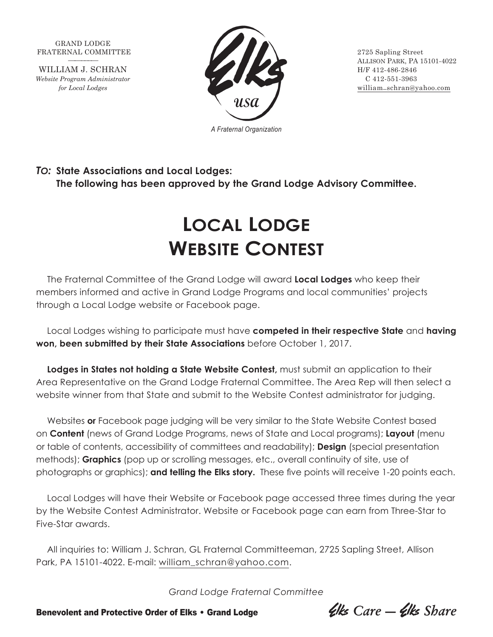GRAND LODGE FRATERNAL COMMITTEE 2725 Sapling Street

WILLIAM J. SCHRAN H/F 412-486-2846 *Website Program Administrator* C 412-551-3963



ALLISON PARK, PA 15101-4022 *for Local Lodges* william\_schran@yahoo.com

*To:* **State Associations and Local Lodges: The following has been approved by the Grand Lodge Advisory Committee.**

## **Local Lodge Website Contest**

The Fraternal Committee of the Grand Lodge will award **Local Lodges** who keep their members informed and active in Grand Lodge Programs and local communities' projects through a Local Lodge website or Facebook page.

Local Lodges wishing to participate must have **competed in their respective State** and **having won, been submitted by their State Associations** before October 1, 2017.

**Lodges in States not holding a State Website Contest,** must submit an application to their Area Representative on the Grand Lodge Fraternal Committee. The Area Rep will then select a website winner from that State and submit to the Website Contest administrator for judging.

Websites **or** Facebook page judging will be very similar to the State Website Contest based on **Content** (news of Grand Lodge Programs, news of State and Local programs); **Layout** (menu or table of contents, accessibility of committees and readability); **Design** (special presentation methods); **Graphics** (pop up or scrolling messages, etc., overall continuity of site, use of photographs or graphics); **and telling the Elks story.** These five points will receive 1-20 points each.

Local Lodges will have their Website or Facebook page accessed three times during the year by the Website Contest Administrator. Website or Facebook page can earn from Three-Star to Five-Star awards.

All inquiries to: William J. Schran, GL Fraternal Committeeman, 2725 Sapling Street, Allison Park, PA 15101-4022. E-mail: william\_schran@yahoo.com.

*Grand Lodge Fraternal Committee*

Benevolent and Protective Order of Elks • Grand Lodge *Liks Care — Clks Share*